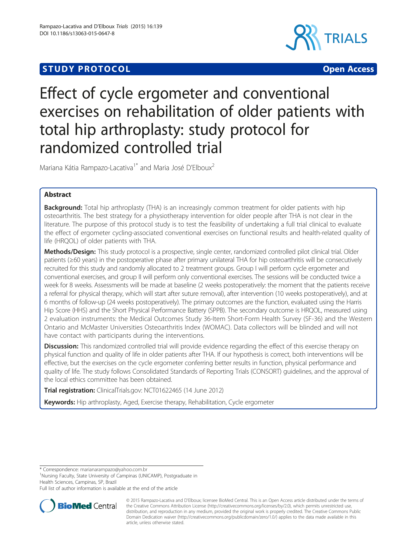# **STUDY PROTOCOL CONSUMING THE CONSUMING OPEN ACCESS**



# Effect of cycle ergometer and conventional exercises on rehabilitation of older patients with total hip arthroplasty: study protocol for randomized controlled trial

Mariana Kátia Rampazo-Lacativa<sup>1\*</sup> and Maria José D'Elboux<sup>2</sup>

# Abstract

**Background:** Total hip arthroplasty (THA) is an increasingly common treatment for older patients with hip osteoarthritis. The best strategy for a physiotherapy intervention for older people after THA is not clear in the literature. The purpose of this protocol study is to test the feasibility of undertaking a full trial clinical to evaluate the effect of ergometer cycling-associated conventional exercises on functional results and health-related quality of life (HRQOL) of older patients with THA.

Methods/Design: This study protocol is a prospective, single center, randomized controlled pilot clinical trial. Older patients (≥60 years) in the postoperative phase after primary unilateral THA for hip osteoarthritis will be consecutively recruited for this study and randomly allocated to 2 treatment groups. Group I will perform cycle ergometer and conventional exercises, and group II will perform only conventional exercises. The sessions will be conducted twice a week for 8 weeks. Assessments will be made at baseline (2 weeks postoperatively: the moment that the patients receive a referral for physical therapy, which will start after suture removal), after intervention (10 weeks postoperatively), and at 6 months of follow-up (24 weeks postoperatively). The primary outcomes are the function, evaluated using the Harris Hip Score (HHS) and the Short Physical Performance Battery (SPPB). The secondary outcome is HRQOL, measured using 2 evaluation instruments: the Medical Outcomes Study 36-Item Short-Form Health Survey (SF-36) and the Western Ontario and McMaster Universities Osteoarthritis Index (WOMAC). Data collectors will be blinded and will not have contact with participants during the interventions.

**Discussion:** This randomized controlled trial will provide evidence regarding the effect of this exercise therapy on physical function and quality of life in older patients after THA. If our hypothesis is correct, both interventions will be effective, but the exercises on the cycle ergometer conferring better results in function, physical performance and quality of life. The study follows Consolidated Standards of Reporting Trials (CONSORT) guidelines, and the approval of the local ethics committee has been obtained.

Trial registration: ClinicalTrials.gov: [NCT01622465](https://clinicaltrials.gov/ct2/results?term=01622465&Search=Search) (14 June 2012)

Keywords: Hip arthroplasty, Aged, Exercise therapy, Rehabilitation, Cycle ergometer

\* Correspondence: [marianarampazo@yahoo.com.br](mailto:marianarampazo@yahoo.com.br) <sup>1</sup>

<sup>1</sup>Nursing Faculty, State University of Campinas (UNICAMP), Postgraduate in Health Sciences, Campinas, SP, Brazil

Full list of author information is available at the end of the article



<sup>© 2015</sup> Rampazo-Lacativa and D'Elboux; licensee BioMed Central. This is an Open Access article distributed under the terms of the Creative Commons Attribution License [\(http://creativecommons.org/licenses/by/2.0\)](http://creativecommons.org/licenses/by/2.0), which permits unrestricted use, distribution, and reproduction in any medium, provided the original work is properly credited. The Creative Commons Public Domain Dedication waiver [\(http://creativecommons.org/publicdomain/zero/1.0/\)](http://creativecommons.org/publicdomain/zero/1.0/) applies to the data made available in this article, unless otherwise stated.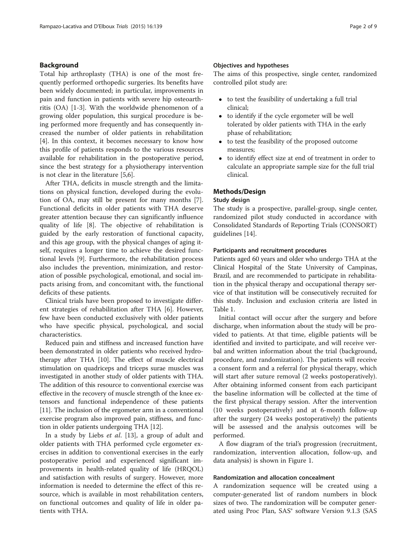#### Background

Total hip arthroplasty (THA) is one of the most frequently performed orthopedic surgeries. Its benefits have been widely documented; in particular, improvements in pain and function in patients with severe hip osteoarthritis (OA) [[1-3](#page-7-0)]. With the worldwide phenomenon of a growing older population, this surgical procedure is being performed more frequently and has consequently increased the number of older patients in rehabilitation [[4\]](#page-7-0). In this context, it becomes necessary to know how this profile of patients responds to the various resources available for rehabilitation in the postoperative period, since the best strategy for a physiotherapy intervention is not clear in the literature [\[5,6](#page-7-0)].

After THA, deficits in muscle strength and the limitations on physical function, developed during the evolution of OA, may still be present for many months [\[7](#page-7-0)]. Functional deficits in older patients with THA deserve greater attention because they can significantly influence quality of life [\[8\]](#page-7-0). The objective of rehabilitation is guided by the early restoration of functional capacity, and this age group, with the physical changes of aging itself, requires a longer time to achieve the desired functional levels [\[9\]](#page-7-0). Furthermore, the rehabilitation process also includes the prevention, minimization, and restoration of possible psychological, emotional, and social impacts arising from, and concomitant with, the functional deficits of these patients.

Clinical trials have been proposed to investigate different strategies of rehabilitation after THA [\[6](#page-7-0)]. However, few have been conducted exclusively with older patients who have specific physical, psychological, and social characteristics.

Reduced pain and stiffness and increased function have been demonstrated in older patients who received hydrotherapy after THA [\[10\]](#page-7-0). The effect of muscle electrical stimulation on quadriceps and triceps surae muscles was investigated in another study of older patients with THA. The addition of this resource to conventional exercise was effective in the recovery of muscle strength of the knee extensors and functional independence of these patients [[11](#page-7-0)]. The inclusion of the ergometer arm in a conventional exercise program also improved pain, stiffness, and function in older patients undergoing THA [[12\]](#page-7-0).

In a study by Liebs et al. [[13](#page-7-0)], a group of adult and older patients with THA performed cycle ergometer exercises in addition to conventional exercises in the early postoperative period and experienced significant improvements in health-related quality of life (HRQOL) and satisfaction with results of surgery. However, more information is needed to determine the effect of this resource, which is available in most rehabilitation centers, on functional outcomes and quality of life in older patients with THA.

#### Objectives and hypotheses

The aims of this prospective, single center, randomized controlled pilot study are:

- to test the feasibility of undertaking a full trial clinical;
- to identify if the cycle ergometer will be well tolerated by older patients with THA in the early phase of rehabilitation;
- to test the feasibility of the proposed outcome measures;
- to identify effect size at end of treatment in order to calculate an appropriate sample size for the full trial clinical.

## Methods/Design

#### Study design

The study is a prospective, parallel-group, single center, randomized pilot study conducted in accordance with Consolidated Standards of Reporting Trials (CONSORT) guidelines [[14\]](#page-7-0).

#### Participants and recruitment procedures

Patients aged 60 years and older who undergo THA at the Clinical Hospital of the State University of Campinas, Brazil, and are recommended to participate in rehabilitation in the physical therapy and occupational therapy service of that institution will be consecutively recruited for this study. Inclusion and exclusion criteria are listed in Table [1.](#page-2-0)

Initial contact will occur after the surgery and before discharge, when information about the study will be provided to patients. At that time, eligible patients will be identified and invited to participate, and will receive verbal and written information about the trial (background, procedure, and randomization). The patients will receive a consent form and a referral for physical therapy, which will start after suture removal (2 weeks postoperatively). After obtaining informed consent from each participant the baseline information will be collected at the time of the first physical therapy session. After the intervention (10 weeks postoperatively) and at 6-month follow-up after the surgery (24 weeks postoperatively) the patients will be assessed and the analysis outcomes will be performed.

A flow diagram of the trial's progression (recruitment, randomization, intervention allocation, follow-up, and data analysis) is shown in Figure [1](#page-2-0).

#### Randomization and allocation concealment

A randomization sequence will be created using a computer-generated list of random numbers in block sizes of two. The randomization will be computer generated using Proc Plan, SAS® software Version 9.1.3 (SAS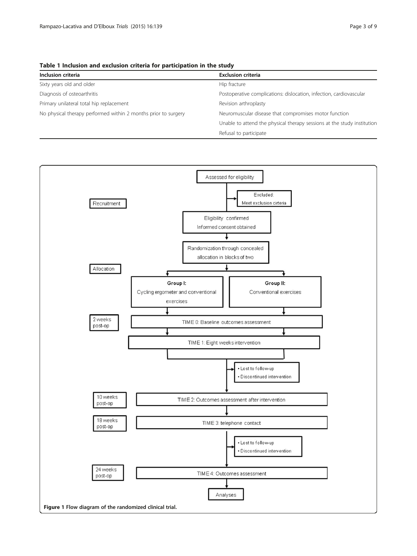<span id="page-2-0"></span>Table 1 Inclusion and exclusion criteria for participation in the study

| Inclusion criteria                                             | <b>Exclusion criteria</b>                                               |
|----------------------------------------------------------------|-------------------------------------------------------------------------|
| Sixty years old and older                                      | Hip fracture                                                            |
| Diagnosis of osteoarthritis                                    | Postoperative complications: dislocation, infection, cardiovascular     |
| Primary unilateral total hip replacement                       | Revision arthroplasty                                                   |
| No physical therapy performed within 2 months prior to surgery | Neuromuscular disease that compromises motor function                   |
|                                                                | Unable to attend the physical therapy sessions at the study institution |
|                                                                | Refusal to participate                                                  |

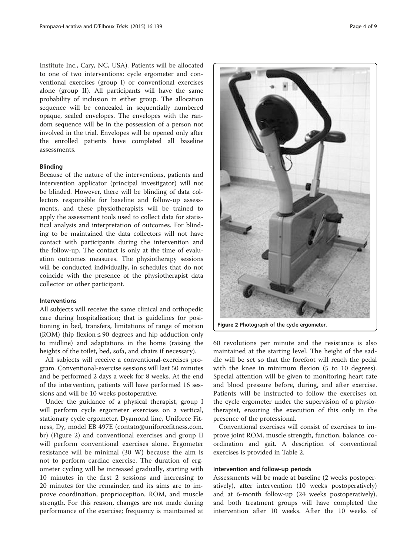Institute Inc., Cary, NC, USA). Patients will be allocated to one of two interventions: cycle ergometer and conventional exercises (group I) or conventional exercises alone (group II). All participants will have the same probability of inclusion in either group. The allocation sequence will be concealed in sequentially numbered opaque, sealed envelopes. The envelopes with the random sequence will be in the possession of a person not involved in the trial. Envelopes will be opened only after the enrolled patients have completed all baseline assessments.

#### Blinding

Because of the nature of the interventions, patients and intervention applicator (principal investigator) will not be blinded. However, there will be blinding of data collectors responsible for baseline and follow-up assessments, and these physiotherapists will be trained to apply the assessment tools used to collect data for statistical analysis and interpretation of outcomes. For blinding to be maintained the data collectors will not have contact with participants during the intervention and the follow-up. The contact is only at the time of evaluation outcomes measures. The physiotherapy sessions will be conducted individually, in schedules that do not coincide with the presence of the physiotherapist data collector or other participant.

#### Interventions

All subjects will receive the same clinical and orthopedic care during hospitalization; that is guidelines for positioning in bed, transfers, limitations of range of motion (ROM) (hip flexion  $\leq 90$  degrees and hip adduction only to midline) and adaptations in the home (raising the heights of the toilet, bed, sofa, and chairs if necessary).

All subjects will receive a conventional-exercises program. Conventional-exercise sessions will last 50 minutes and be performed 2 days a week for 8 weeks. At the end of the intervention, patients will have performed 16 sessions and will be 10 weeks postoperative.

Under the guidance of a physical therapist, group I will perform cycle ergometer exercises on a vertical, stationary cycle ergometer, Dyamond line, Uniforce Fitness, Dy, model EB 497E (contato@uniforcefitness.com. br) (Figure 2) and conventional exercises and group II will perform conventional exercises alone. Ergometer resistance will be minimal (30 W) because the aim is not to perform cardiac exercise. The duration of ergometer cycling will be increased gradually, starting with 10 minutes in the first 2 sessions and increasing to 20 minutes for the remainder, and its aims are to improve coordination, proprioception, ROM, and muscle strength. For this reason, changes are not made during performance of the exercise; frequency is maintained at



60 revolutions per minute and the resistance is also maintained at the starting level. The height of the saddle will be set so that the forefoot will reach the pedal with the knee in minimum flexion (5 to 10 degrees). Special attention will be given to monitoring heart rate and blood pressure before, during, and after exercise. Patients will be instructed to follow the exercises on the cycle ergometer under the supervision of a physiotherapist, ensuring the execution of this only in the presence of the professional.

Conventional exercises will consist of exercises to improve joint ROM, muscle strength, function, balance, coordination and gait. A description of conventional exercises is provided in Table [2.](#page-4-0)

#### Intervention and follow-up periods

Assessments will be made at baseline (2 weeks postoperatively), after intervention (10 weeks postoperatively) and at 6-month follow-up (24 weeks postoperatively), and both treatment groups will have completed the intervention after 10 weeks. After the 10 weeks of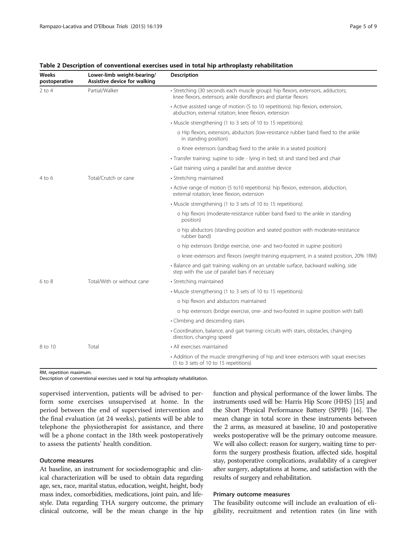| Weeks<br>postoperative         | Lower-limb weight-bearing/<br>Assistive device for walking | Description                                                                                                                                        |
|--------------------------------|------------------------------------------------------------|----------------------------------------------------------------------------------------------------------------------------------------------------|
| $2$ to 4                       | Partial/Walker                                             | · Stretching (30 seconds each muscle group): hip flexors, extensors, adductors;<br>knee flexors, extensors; ankle dorsiflexors and plantar flexors |
|                                |                                                            | • Active assisted range of motion (5 to 10 repetitions): hip flexion, extension,<br>abduction, external rotation; knee flexion, extension          |
|                                |                                                            | • Muscle strengthening (1 to 3 sets of 10 to 15 repetitions):                                                                                      |
|                                |                                                            | o Hip flexors, extensors, abductors (low-resistance rubber band fixed to the ankle<br>in standing position)                                        |
|                                |                                                            | o Knee extensors (sandbag fixed to the ankle in a seated position)                                                                                 |
|                                |                                                            | • Transfer training: supine to side - lying in bed; sit and stand bed and chair                                                                    |
|                                |                                                            | • Gait training using a parallel bar and assistive device                                                                                          |
| Total/Crutch or cane<br>4 to 6 |                                                            | • Stretching maintained                                                                                                                            |
|                                |                                                            | • Active range of motion (5 to10 repetitions): hip flexion, extension, abduction,<br>external rotation; knee flexion, extension                    |
|                                |                                                            | • Muscle strengthening (1 to 3 sets of 10 to 15 repetitions):                                                                                      |
|                                |                                                            | o hip flexors (moderate-resistance rubber band fixed to the ankle in standing<br>position)                                                         |
|                                |                                                            | o hip abductors (standing position and seated position with moderate-resistance<br>rubber band)                                                    |
|                                |                                                            | o hip extensors (bridge exercise, one- and two-footed in supine position)                                                                          |
|                                |                                                            | o knee extensors and flexors (weight-training equipment, in a seated position, 20% 1RM)                                                            |
|                                |                                                            | · Balance and gait training: walking on an unstable surface, backward walking, side<br>step with the use of parallel bars if necessary             |
| $6$ to $8$                     | Total/With or without cane                                 | • Stretching maintained                                                                                                                            |
|                                |                                                            | • Muscle strengthening (1 to 3 sets of 10 to 15 repetitions):                                                                                      |
|                                |                                                            | o hip flexors and abductors maintained                                                                                                             |
|                                |                                                            | o hip extensors (bridge exercise, one- and two-footed in supine position with ball)                                                                |
|                                |                                                            | • Climbing and descending stairs                                                                                                                   |
|                                |                                                            | • Coordination, balance, and gait training: circuits with stairs, obstacles, changing<br>direction, changing speed                                 |
| 8 to 10                        | Total                                                      | • All exercises maintained                                                                                                                         |
|                                |                                                            | • Addition of the muscle strengthening of hip and knee extensors with squat exercises<br>(1 to 3 sets of 10 to 15 repetitions)                     |

#### <span id="page-4-0"></span>Table 2 Description of conventional exercises used in total hip arthroplasty rehabilitation

RM, repetition maximum.

Description of conventional exercises used in total hip arthroplasty rehabilitation.

supervised intervention, patients will be advised to perform some exercises unsupervised at home. In the period between the end of supervised intervention and the final evaluation (at 24 weeks), patients will be able to telephone the physiotherapist for assistance, and there will be a phone contact in the 18th week postoperatively to assess the patients' health condition.

#### Outcome measures

At baseline, an instrument for sociodemographic and clinical characterization will be used to obtain data regarding age, sex, race, marital status, education, weight, height, body mass index, comorbidities, medications, joint pain, and lifestyle. Data regarding THA surgery outcome, the primary clinical outcome, will be the mean change in the hip function and physical performance of the lower limbs. The instruments used will be: Harris Hip Score (HHS) [\[15\]](#page-7-0) and the Short Physical Performance Battery (SPPB) [\[16](#page-7-0)]. The mean change in total score in these instruments between the 2 arms, as measured at baseline, 10 and postoperative weeks postoperative will be the primary outcome measure. We will also collect: reason for surgery, waiting time to perform the surgery prosthesis fixation, affected side, hospital stay, postoperative complications, availability of a caregiver after surgery, adaptations at home, and satisfaction with the results of surgery and rehabilitation.

#### Primary outcome measures

The feasibility outcome will include an evaluation of eligibility, recruitment and retention rates (in line with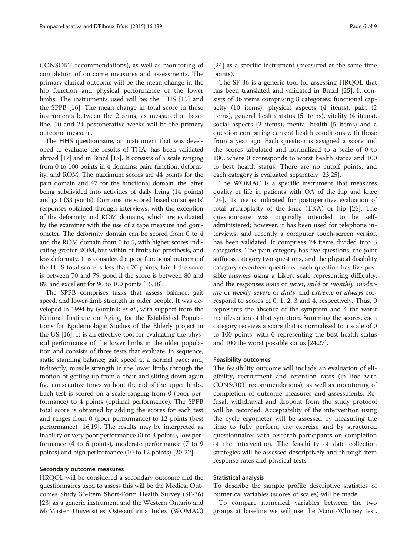CONSORT recommendations), as well as monitoring of completion of outcome measures and assessments. The primary clinical outcome will be the mean change in the hip function and physical performance of the lower limbs. The instruments used will be: the HHS [[15](#page-7-0)] and the SPPB [[16\]](#page-7-0). The mean change in total score in these instruments between the 2 arms, as measured at baseline, 10 and 24 postoperative weeks will be the primary outcome measure.

The HHS questionnaire, an instrument that was developed to evaluate the results of THA, has been validated abroad [\[17\]](#page-8-0) and in Brazil [\[18\]](#page-8-0). It consists of a scale ranging from 0 to 100 points in 4 domains: pain, function, deformity, and ROM. The maximum scores are 44 points for the pain domain and 47 for the functional domain, the latter being subdivided into activities of daily living (14 points) and gait (33 points). Domains are scored based on subjects' responses obtained through interviews, with the exception of the deformity and ROM domains, which are evaluated by the examiner with the use of a tape measure and goniometer. The deformity domain can be scored from 0 to 4 and the ROM domain from 0 to 5, with higher scores indicating greater ROM, but within of limits for prosthesis, and less deformity. It is considered a poor functional outcome if the HHS total score is less than 70 points, fair if the score is between 70 and 79; good if the score is between 80 and 89, and excellent for 90 to 100 points [[15](#page-7-0)[,18\]](#page-8-0).

The SPPB comprises tasks that assess balance, gait speed, and lower-limb strength in older people. It was developed in 1994 by Guralnik et al., with support from the National Institute on Aging, for the Established Populations for Epidemiologic Studies of the Elderly project in the US [[16](#page-7-0)]. It is an effective tool for evaluating the physical performance of the lower limbs in the older population and consists of three tests that evaluate, in sequence, static standing balance; gait speed at a normal pace; and, indirectly, muscle strength in the lower limbs through the motion of getting up from a chair and sitting down again five consecutive times without the aid of the upper limbs. Each test is scored on a scale ranging from 0 (poor performance) to 4 points (optimal performance). The SPPB total score is obtained by adding the scores for each test and ranges from 0 (poor performance) to 12 points (best performance) [[16,](#page-7-0)[19](#page-8-0)]. The results may be interpreted as inability or very poor performance (0 to 3 points), low performance (4 to 6 points), moderate performance (7 to 9 points) and high performance (10 to 12 points) [\[20-22](#page-8-0)].

#### Secondary outcome measures

HRQOL will be considered a secondary outcome and the questionnaires used to assess this will be the Medical Outcomes Study 36-Item Short-Form Health Survey (SF-36) [[23](#page-8-0)] as a generic instrument and the Western Ontario and McMaster Universities Osteoarthritis Index (WOMAC)

[[24](#page-8-0)] as a specific instrument (measured at the same time points).

The SF-36 is a generic tool for assessing HRQOL that has been translated and validated in Brazil [[25\]](#page-8-0). It consists of 36 items comprising 8 categories: functional capacity (10 items), physical aspects (4 items), pain (2 items), general health status (5 items), vitality (4 items), social aspects (2 items), mental health (5 items) and a question comparing current health conditions with those from a year ago. Each question is assigned a score and the scores tabulated and normalized to a scale of 0 to 100, where 0 corresponds to worst health status and 100 to best health status. There are no cutoff points, and each category is evaluated separately [[23,25](#page-8-0)].

The WOMAC is a specific instrument that measures quality of life in patients with OA of the hip and knee [[24](#page-8-0)]. Its use is indicated for postoperative evaluation of total arthroplasty of the knee (TKA) or hip [[26](#page-8-0)]. The questionnaire was originally intended to be selfadministered; however, it has been used for telephone interviews, and recently a computer touch-screen version has been validated. It comprises 24 items divided into 3 categories. The pain category has five questions, the joint stiffness category two questions, and the physical disability category seventeen questions. Each question has five possible answers using a Likert scale representing difficulty, and the responses none or never, mild or monthly, moderate or weekly, severe or daily, and extreme or always correspond to scores of 0, 1, 2, 3 and 4, respectively. Thus, 0 represents the absence of the symptom and 4 the worst manifestation of that symptom. Summing the scores, each category receives a score that is normalized to a scale of 0 to 100 points, with 0 representing the best health status and 100 the worst possible status [[24,27\]](#page-8-0).

#### Feasibility outcomes

The feasibility outcome will include an evaluation of eligibility, recruitment and retention rates (in line with CONSORT recommendations), as well as monitoring of completion of outcome measures and assessments. Refusal, withdrawal and dropout from the study protocol will be recorded. Acceptability of the intervention using the cycle ergometer will be assessed by measuring the time to fully perform the exercise and by structured questionnaires with research participants on completion of the intervention. The feasibility of data collection strategies will be assessed descriptively and through item response rates and physical tests.

#### Statistical analysis

To describe the sample profile descriptive statistics of numerical variables (scores of scales) will be made.

To compare numerical variables between the two groups at baseline we will use the Mann-Whitney test,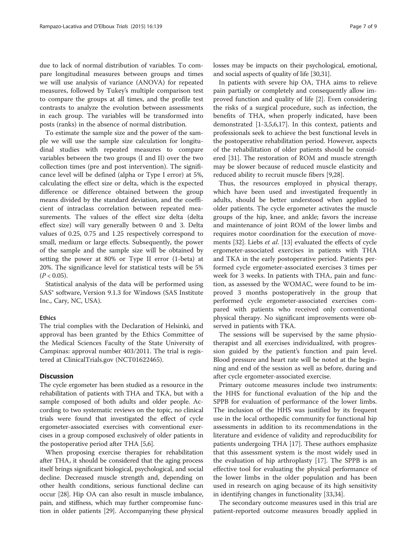due to lack of normal distribution of variables. To compare longitudinal measures between groups and times we will use analysis of variance (ANOVA) for repeated measures, followed by Tukey's multiple comparison test to compare the groups at all times, and the profile test contrasts to analyze the evolution between assessments in each group. The variables will be transformed into posts (ranks) in the absence of normal distribution.

To estimate the sample size and the power of the sample we will use the sample size calculation for longitudinal studies with repeated measures to compare variables between the two groups (I and II) over the two collection times (pre and post intervention). The significance level will be defined (alpha or Type I error) at 5%, calculating the effect size or delta, which is the expected difference or difference obtained between the group means divided by the standard deviation, and the coefficient of intraclass correlation between repeated measurements. The values of the effect size delta (delta effect size) will vary generally between 0 and 3. Delta values of 0.25, 0.75 and 1.25 respectively correspond to small, medium or large effects. Subsequently, the power of the sample and the sample size will be obtained by setting the power at 80% or Type II error (1-beta) at 20%. The significance level for statistical tests will be 5%  $(P < 0.05)$ .

Statistical analysis of the data will be performed using SAS® software, Version 9.1.3 for Windows (SAS Institute Inc., Cary, NC, USA).

#### Ethics

The trial complies with the Declaration of Helsinki, and approval has been granted by the Ethics Committee of the Medical Sciences Faculty of the State University of Campinas: approval number 403/2011. The trial is registered at ClinicalTrials.gov (NCT01622465).

## **Discussion**

The cycle ergometer has been studied as a resource in the rehabilitation of patients with THA and TKA, but with a sample composed of both adults and older people. According to two systematic reviews on the topic, no clinical trials were found that investigated the effect of cycle ergometer-associated exercises with conventional exercises in a group composed exclusively of older patients in the postoperative period after THA [[5,6\]](#page-7-0).

When proposing exercise therapies for rehabilitation after THA, it should be considered that the aging process itself brings significant biological, psychological, and social decline. Decreased muscle strength and, depending on other health conditions, serious functional decline can occur [\[28\]](#page-8-0). Hip OA can also result in muscle imbalance, pain, and stiffness, which may further compromise function in older patients [\[29\]](#page-8-0). Accompanying these physical losses may be impacts on their psychological, emotional, and social aspects of quality of life [[30,31](#page-8-0)].

In patients with severe hip OA, THA aims to relieve pain partially or completely and consequently allow improved function and quality of life [\[2](#page-7-0)]. Even considering the risks of a surgical procedure, such as infection, the benefits of THA, when properly indicated, have been demonstrated [\[1](#page-7-0)-[3,5,6,](#page-7-0)[17\]](#page-8-0). In this context, patients and professionals seek to achieve the best functional levels in the postoperative rehabilitation period. However, aspects of the rehabilitation of older patients should be considered [\[31\]](#page-8-0). The restoration of ROM and muscle strength may be slower because of reduced muscle elasticity and reduced ability to recruit muscle fibers [[9](#page-7-0),[28](#page-8-0)].

Thus, the resources employed in physical therapy, which have been used and investigated frequently in adults, should be better understood when applied to older patients. The cycle ergometer activates the muscle groups of the hip, knee, and ankle; favors the increase and maintenance of joint ROM of the lower limbs and requires motor coordination for the execution of move-ments [[32\]](#page-8-0). Liebs et al. [\[13\]](#page-7-0) evaluated the effects of cycle ergometer-associated exercises in patients with THA and TKA in the early postoperative period. Patients performed cycle ergometer-associated exercises 3 times per week for 3 weeks. In patients with THA, pain and function, as assessed by the WOMAC, were found to be improved 3 months postoperatively in the group that performed cycle ergometer-associated exercises compared with patients who received only conventional physical therapy. No significant improvements were observed in patients with TKA.

The sessions will be supervised by the same physiotherapist and all exercises individualized, with progression guided by the patient's function and pain level. Blood pressure and heart rate will be noted at the beginning and end of the session as well as before, during and after cycle ergometer-associated exercise.

Primary outcome measures include two instruments: the HHS for functional evaluation of the hip and the SPPB for evaluation of performance of the lower limbs. The inclusion of the HHS was justified by its frequent use in the local orthopedic community for functional hip assessments in addition to its recommendations in the literature and evidence of validity and reproducibility for patients undergoing THA [[17\]](#page-8-0). These authors emphasize that this assessment system is the most widely used in the evaluation of hip arthroplasty [\[17\]](#page-8-0). The SPPB is an effective tool for evaluating the physical performance of the lower limbs in the older population and has been used in research on aging because of its high sensitivity in identifying changes in functionality [[33](#page-8-0),[34](#page-8-0)].

The secondary outcome measures used in this trial are patient-reported outcome measures broadly applied in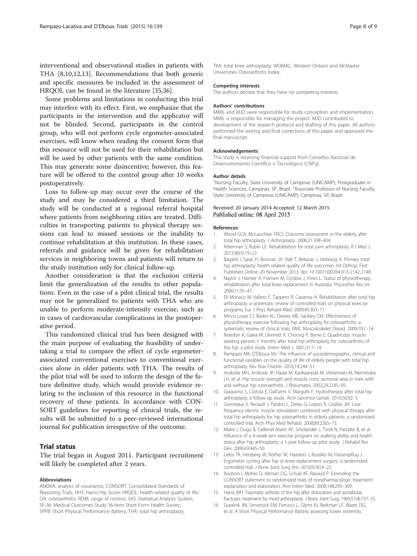<span id="page-7-0"></span>interventional and observational studies in patients with THA [8,10,12,13]. Recommendations that both generic and specific measures be included in the assessment of HRQOL can be found in the literature [[35,36\]](#page-8-0).

Some problems and limitations in conducting this trial may interfere with its effect. First, we emphasize that the participants in the intervention and the applicator will not be blinded. Second, participants in the control group, who will not perform cycle ergometer-associated exercises, will know when reading the consent form that this resource will not be used for their rehabilitation but will be used by other patients with the same condition. This may generate some disincentive; however, this feature will be offered to the control group after 10 weeks postoperatively.

Loss to follow-up may occur over the course of the study and may be considered a third limitation. The study will be conducted at a regional referral hospital where patients from neighboring cities are treated. Difficulties in transporting patients to physical therapy sessions can lead to missed sessions or the inability to continue rehabilitation at this institution. In these cases, referrals and guidance will be given for rehabilitation services in neighboring towns and patients will return to the study institution only for clinical follow-up.

Another consideration is that the exclusion criteria limit the generalization of the results to other populations. Even in the case of a pilot clinical trial, the results may not be generalized to patients with THA who are unable to perform moderate-intensity exercise, such as in cases of cardiovascular complications in the postoperative period.

This randomized clinical trial has been designed with the main purpose of evaluating the feasibility of undertaking a trial to compare the effect of cycle ergometerassociated conventional exercises to conventional exercises alone in older patients with THA. The results of the pilot trial will be used to inform the design of the future definitive study, which would provide evidence relating to the inclusion of this resource in the functional recovery of these patients. In accordance with CON-SORT guidelines for reporting of clinical trials, the results will be submitted to a peer-reviewed international journal for publication irrespective of the outcome.

# Trial status

The trial began in August 2011. Participant recruitment will likely be completed after 2 years.

#### Abbreviations

ANOVA: analysis of covariance; CONSORT: Consolidated Standards of Reporting Trials; HHS: Harris Hip Score; HRQOL: health-related quality of life; OA: osteoarthritis; ROM: range of motion; SAS: Statistical Analysis System; SF-36: Medical Outcomes Study 36-Item Short-Form Health Survey; SPPB: Short Physical Performance Battery; THA: total hip arthroplasty;

TKA: total knee arthroplasty; WOMAC: Western Ontario and McMaster Universities Osteoarthritis Index..

#### Competing interests

The authors declare that they have no competing interests.

#### Authors' contributions

MKRL and MJD were responsible for study conception and implementation. MKRL is responsible for managing the project. MJD contributed to development of the research protocol and drafting of this paper. All authors performed the writing and final corrections of this paper and approved the final manuscript.

#### Acknowledgements

This study is receiving financial support from Conselho Nacional de Desenvolvimento Científico e Tecnológico (CNPq).

#### Author details

<sup>1</sup>Nursing Faculty, State University of Campinas (UNICAMP), Postgraduate in Health Sciences, Campinas, SP, Brazil. <sup>2</sup>Associate Professor of Nursing Faculty State University of Campinas (UNICAMP), Campinas, SP, Brazil.

#### Received: 20 January 2014 Accepted: 12 March 2015 Published online: 08 April 2015

#### References

- 1. Wood GCA, McLauchlan FRCS. Outcome assessment in the elderly after total hip arthroplasty. J Arthroplasty. 2006;21:398–404.
- 2. Ritterman S, Rubin LE. Rehabilitation for total joint arthroplasty. R I Med J. 2013;96(5):19–22.
- 3. Bagarié I, Sarac H, Borovac JA, Vlak T, Bekavac J, Hebrang A. Primary total hip arthroplasty: health related quality of life outcomes. Int Orthop. First Published Online: 20 November 2013. doi: 10.1007/s00264-013-2142-2148.
- 4. Naylor J, Harmer A, Fransen M, Crosbie J, Innes L. Status of physiotherapy rehabilitation after total knee replacement in Australia. Physiother Res Int. 2006;11:35–47.
- 5. Di Monaco M, Vallero F, Tappero R, Cavanna A. Rehabilitation after total hip arthroplasty: a systematic review of controlled trials on physical exercise programs. Eur J Phys Rehabil Med. 2009;45:303–17.
- 6. Minns Lowe CJ, Barker KL, Dewey ME, Sackley CM. Effectiveness of physiotherapy exercise following hip arthroplasty for osteoarthritis: a systematic review of clinical trials. BMC Musculoskelet Disord. 2009;10:1–14.
- 7. Reardon K, Galea M, Dennett X, Choong P, Byrne E. Quadriceps muscle wasting persists 5 months after total hip arthroplasty for osteoarthritis of the hip: a pilot study. Intern Med J. 2001;31:7–14.
- 8. Rampazo MK, D'Elboux MJ. The influence of sociodemographic, clinical and functional variables on the quality of life of elderly people with total hip arthroplasty. Rev Bras Fisioter. 2010;14:244–51.
- 9. Arokoski MH, Arokoski JP, Haara M, Kankaanpää M, Vesterinen M, Niemitukia LH, et al. Hip muscle strength and muscle cross sectional area in men with and without hip osteoarthritis. J Rheumatol. 2002;29:2185–95.
- 10. Giaquinto S, Ciotola E, Dall'armi V, Margutti F. Hydrotherapy after total hip arthroplasty: a follow-up study. Arch Gerontol Geriatr. 2010;50:92–5.
- 11. Gremeaux V, Renault J, Pardon L, Deley G, Lepers R, Casillas JM. Lowfrequency electric muscle stimulation combined with physical therapy after total hip arthroplasty for hip osteoarthritis in elderly patients: a randomized controlled trial. Arch Phys Med Rehabil. 2008;89:2265–73.
- 12. Maire J, Dugu B, Faillenet-Maire AF, Smolander J, Tordi N, Parratte B, et al. Influence of a 6-week arm exercise program on walking ability and health status after hip arthroplasty: a 1-year follow-up pilot study. J Rehabil Res Dev. 2006;43:445–50.
- 13. Liebs TR, Herzberg W, Röther W, Haasters J, Russlies M, Hassenpflug J. Ergometer cycling after hip or knee replacement surgery: a randomized controlled trial. J Bone Joint Surg Am. 2010;92:814–22.
- 14. Boutron I, Moher D, Altman DG, Schulz KF, Ravaud P. Extending the CONSORT statement to randomized trials of nonpharmacologic treatment: explanation and elaboration. Ann Intern Med. 2008;148:295–309.
- 15. Harris WH. Traumatic arthritis of the hip after dislocation and acetabular fractures: treatment by mold arthroplasty. J Bone Joint Surg. 1969;51(4):737–55.
- 16. Guralnik JM, Simonsick EM, Ferrucci L, Glynn RJ, Berkman LF, Blazer DG, et al. A Short Physical Performance Battery assessing lower extremity